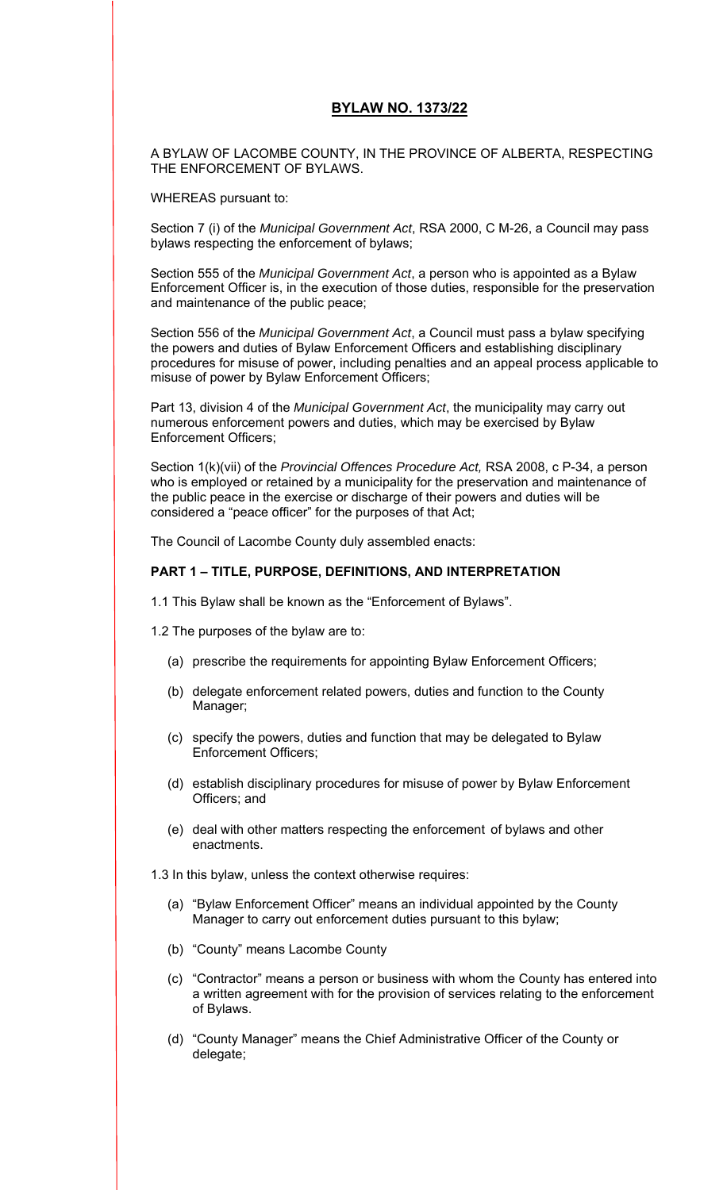### **BYLAW NO. 1373/22**

A BYLAW OF LACOMBE COUNTY, IN THE PROVINCE OF ALBERTA, RESPECTING THE ENFORCEMENT OF BYLAWS.

WHEREAS pursuant to:

Section 7 (i) of the *Municipal Government Act*, RSA 2000, C M-26, a Council may pass bylaws respecting the enforcement of bylaws;

Section 555 of the *Municipal Government Act*, a person who is appointed as a Bylaw Enforcement Officer is, in the execution of those duties, responsible for the preservation and maintenance of the public peace;

Section 556 of the *Municipal Government Act*, a Council must pass a bylaw specifying the powers and duties of Bylaw Enforcement Officers and establishing disciplinary procedures for misuse of power, including penalties and an appeal process applicable to misuse of power by Bylaw Enforcement Officers;

Part 13, division 4 of the *Municipal Government Act*, the municipality may carry out numerous enforcement powers and duties, which may be exercised by Bylaw Enforcement Officers;

Section 1(k)(vii) of the *Provincial Offences Procedure Act,* RSA 2008, c P-34, a person who is employed or retained by a municipality for the preservation and maintenance of the public peace in the exercise or discharge of their powers and duties will be considered a "peace officer" for the purposes of that Act;

The Council of Lacombe County duly assembled enacts:

### **PART 1 – TITLE, PURPOSE, DEFINITIONS, AND INTERPRETATION**

1.1 This Bylaw shall be known as the "Enforcement of Bylaws".

- 1.2 The purposes of the bylaw are to:
	- (a) prescribe the requirements for appointing Bylaw Enforcement Officers;
	- (b) delegate enforcement related powers, duties and function to the County Manager;
	- (c) specify the powers, duties and function that may be delegated to Bylaw Enforcement Officers;
	- (d) establish disciplinary procedures for misuse of power by Bylaw Enforcement Officers; and
	- (e) deal with other matters respecting the enforcement of bylaws and other enactments.

1.3 In this bylaw, unless the context otherwise requires:

- (a) "Bylaw Enforcement Officer" means an individual appointed by the County Manager to carry out enforcement duties pursuant to this bylaw;
- (b) "County" means Lacombe County
- (c) "Contractor" means a person or business with whom the County has entered into a written agreement with for the provision of services relating to the enforcement of Bylaws.
- (d) "County Manager" means the Chief Administrative Officer of the County or delegate;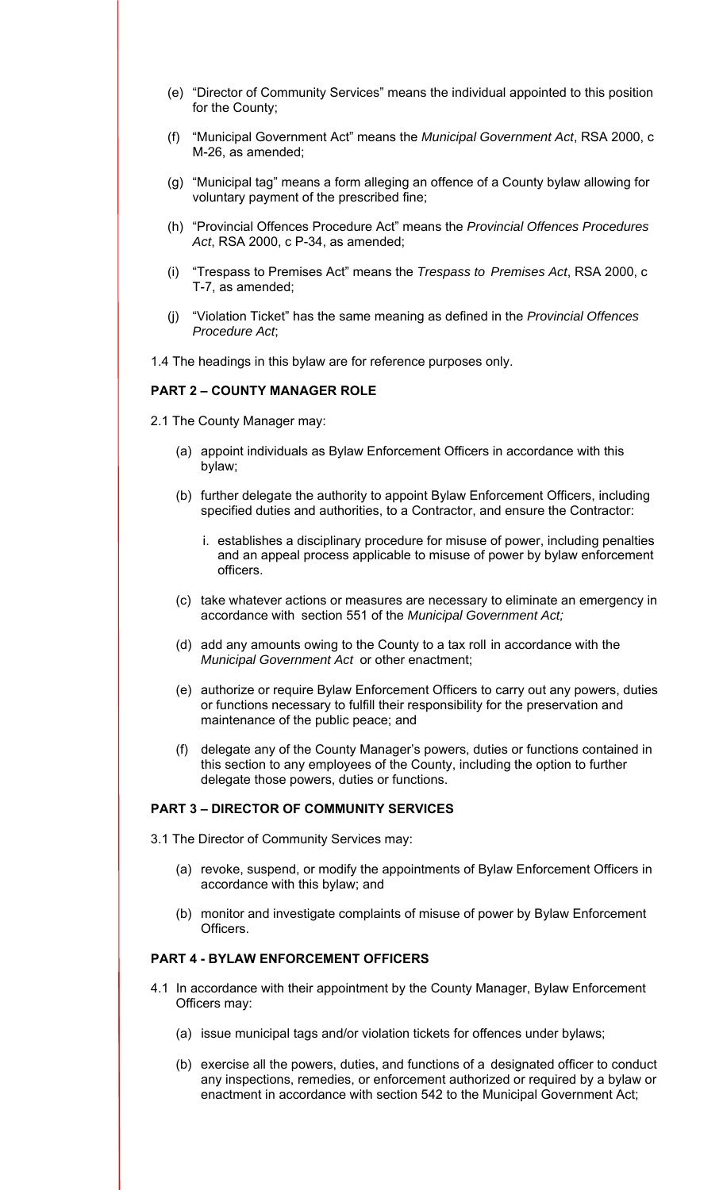- (e) "Director of Community Services" means the individual appointed to this position for the County;
- (f) "Municipal Government Act" means the *Municipal Government Act*, RSA 2000, c M-26, as amended;
- (g) "Municipal tag" means a form alleging an offence of a County bylaw allowing for voluntary payment of the prescribed fine;
- (h) "Provincial Offences Procedure Act" means the *Provincial Offences Procedures Act*, RSA 2000, c P-34, as amended;
- (i) "Trespass to Premises Act" means the *Trespass to Premises Act*, RSA 2000, c T-7, as amended;
- (j) "Violation Ticket" has the same meaning as defined in the *Provincial Offences Procedure Act*;

1.4 The headings in this bylaw are for reference purposes only.

### **PART 2 – COUNTY MANAGER ROLE**

- 2.1 The County Manager may:
	- (a) appoint individuals as Bylaw Enforcement Officers in accordance with this bylaw;
	- (b) further delegate the authority to appoint Bylaw Enforcement Officers, including specified duties and authorities, to a Contractor, and ensure the Contractor:
		- i. establishes a disciplinary procedure for misuse of power, including penalties and an appeal process applicable to misuse of power by bylaw enforcement officers.
	- (c) take whatever actions or measures are necessary to eliminate an emergency in accordance with section 551 of the *Municipal Government Act;*
	- (d) add any amounts owing to the County to a tax roll in accordance with the *Municipal Government Act* or other enactment;
	- (e) authorize or require Bylaw Enforcement Officers to carry out any powers, duties or functions necessary to fulfill their responsibility for the preservation and maintenance of the public peace; and
	- (f) delegate any of the County Manager's powers, duties or functions contained in this section to any employees of the County, including the option to further delegate those powers, duties or functions.

#### **PART 3 – DIRECTOR OF COMMUNITY SERVICES**

- 3.1 The Director of Community Services may:
	- (a) revoke, suspend, or modify the appointments of Bylaw Enforcement Officers in accordance with this bylaw; and
	- (b) monitor and investigate complaints of misuse of power by Bylaw Enforcement Officers.

# **PART 4 - BYLAW ENFORCEMENT OFFICERS**

- 4.1 In accordance with their appointment by the County Manager, Bylaw Enforcement Officers may:
	- (a) issue municipal tags and/or violation tickets for offences under bylaws;
	- (b) exercise all the powers, duties, and functions of a designated officer to conduct any inspections, remedies, or enforcement authorized or required by a bylaw or enactment in accordance with section 542 to the Municipal Government Act;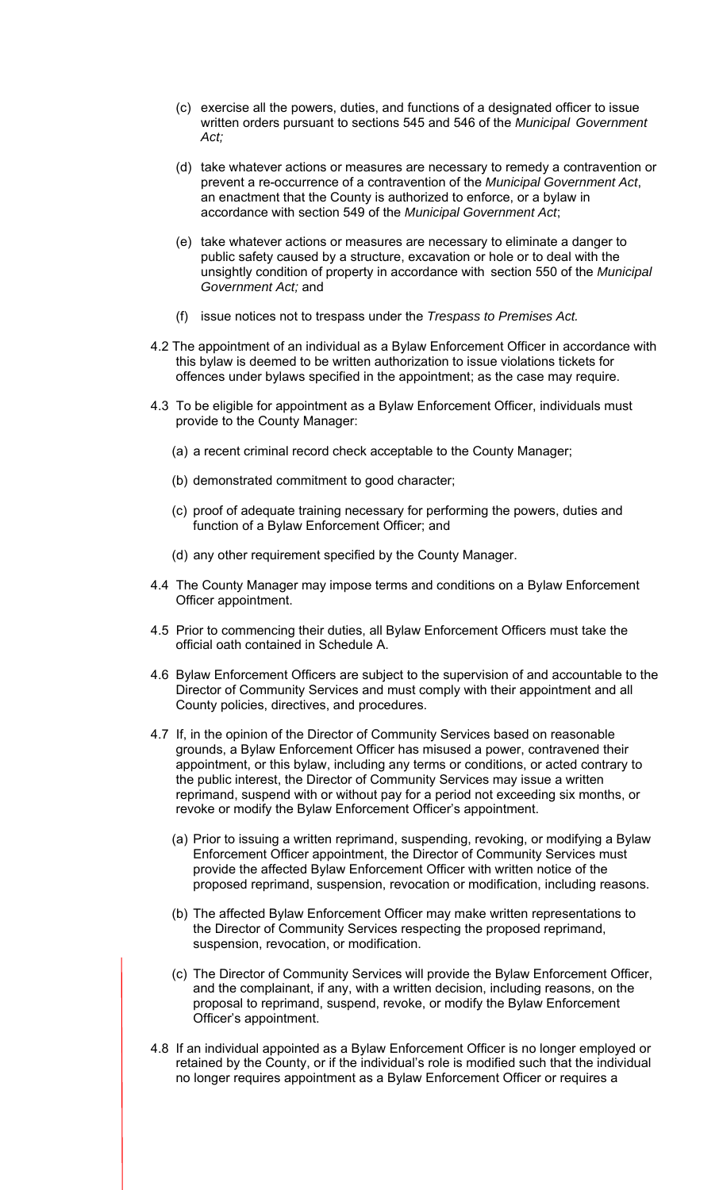- (c) exercise all the powers, duties, and functions of a designated officer to issue written orders pursuant to sections 545 and 546 of the *Municipal Government Act;*
- (d) take whatever actions or measures are necessary to remedy a contravention or prevent a re-occurrence of a contravention of the *Municipal Government Act*, an enactment that the County is authorized to enforce, or a bylaw in accordance with section 549 of the *Municipal Government Act*;
- (e) take whatever actions or measures are necessary to eliminate a danger to public safety caused by a structure, excavation or hole or to deal with the unsightly condition of property in accordance with section 550 of the *Municipal Government Act;* and
- (f) issue notices not to trespass under the *Trespass to Premises Act.*
- 4.2 The appointment of an individual as a Bylaw Enforcement Officer in accordance with this bylaw is deemed to be written authorization to issue violations tickets for offences under bylaws specified in the appointment; as the case may require.
- 4.3 To be eligible for appointment as a Bylaw Enforcement Officer, individuals must provide to the County Manager:
	- (a) a recent criminal record check acceptable to the County Manager;
	- (b) demonstrated commitment to good character;
	- (c) proof of adequate training necessary for performing the powers, duties and function of a Bylaw Enforcement Officer; and
	- (d) any other requirement specified by the County Manager.
- 4.4 The County Manager may impose terms and conditions on a Bylaw Enforcement Officer appointment.
- 4.5 Prior to commencing their duties, all Bylaw Enforcement Officers must take the official oath contained in Schedule A.
- 4.6 Bylaw Enforcement Officers are subject to the supervision of and accountable to the Director of Community Services and must comply with their appointment and all County policies, directives, and procedures.
- 4.7 If, in the opinion of the Director of Community Services based on reasonable grounds, a Bylaw Enforcement Officer has misused a power, contravened their appointment, or this bylaw, including any terms or conditions, or acted contrary to the public interest, the Director of Community Services may issue a written reprimand, suspend with or without pay for a period not exceeding six months, or revoke or modify the Bylaw Enforcement Officer's appointment.
	- (a) Prior to issuing a written reprimand, suspending, revoking, or modifying a Bylaw Enforcement Officer appointment, the Director of Community Services must provide the affected Bylaw Enforcement Officer with written notice of the proposed reprimand, suspension, revocation or modification, including reasons.
	- (b) The affected Bylaw Enforcement Officer may make written representations to the Director of Community Services respecting the proposed reprimand, suspension, revocation, or modification.
	- (c) The Director of Community Services will provide the Bylaw Enforcement Officer, and the complainant, if any, with a written decision, including reasons, on the proposal to reprimand, suspend, revoke, or modify the Bylaw Enforcement Officer's appointment.
- 4.8 If an individual appointed as a Bylaw Enforcement Officer is no longer employed or retained by the County, or if the individual's role is modified such that the individual no longer requires appointment as a Bylaw Enforcement Officer or requires a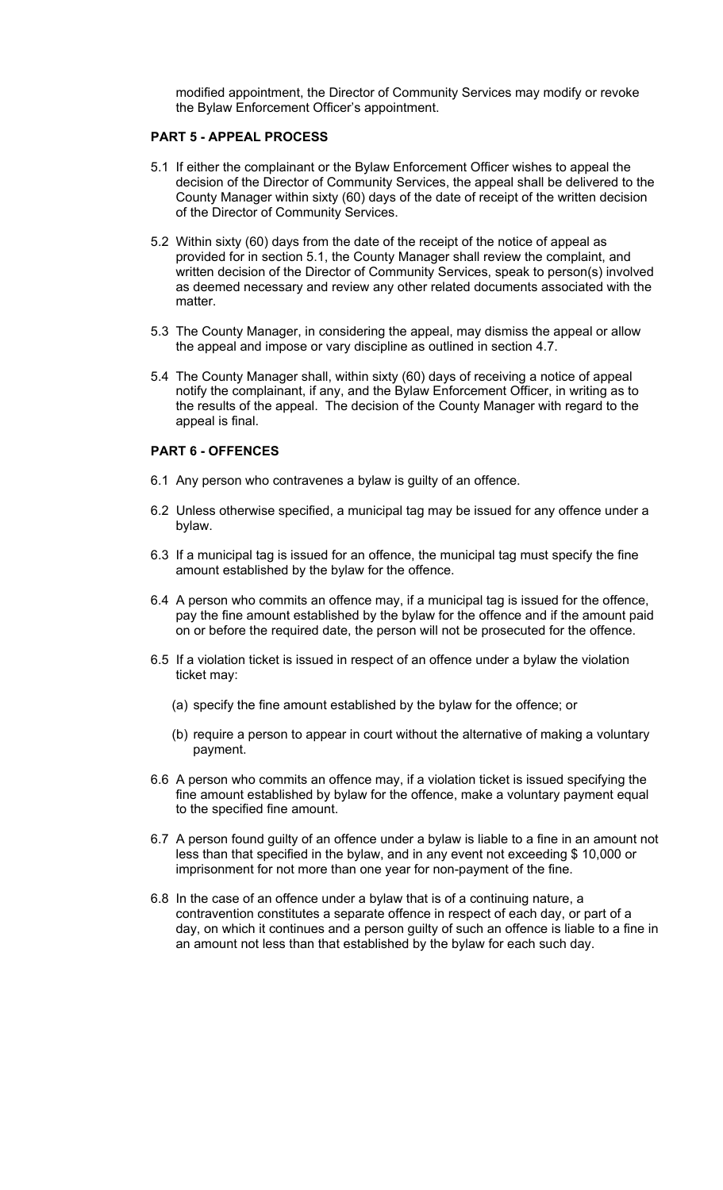modified appointment, the Director of Community Services may modify or revoke the Bylaw Enforcement Officer's appointment.

### **PART 5 - APPEAL PROCESS**

- 5.1 If either the complainant or the Bylaw Enforcement Officer wishes to appeal the decision of the Director of Community Services, the appeal shall be delivered to the County Manager within sixty (60) days of the date of receipt of the written decision of the Director of Community Services.
- 5.2 Within sixty (60) days from the date of the receipt of the notice of appeal as provided for in section 5.1, the County Manager shall review the complaint, and written decision of the Director of Community Services, speak to person(s) involved as deemed necessary and review any other related documents associated with the matter.
- 5.3 The County Manager, in considering the appeal, may dismiss the appeal or allow the appeal and impose or vary discipline as outlined in section 4.7.
- 5.4 The County Manager shall, within sixty (60) days of receiving a notice of appeal notify the complainant, if any, and the Bylaw Enforcement Officer, in writing as to the results of the appeal. The decision of the County Manager with regard to the appeal is final.

## **PART 6 - OFFENCES**

- 6.1 Any person who contravenes a bylaw is guilty of an offence.
- 6.2 Unless otherwise specified, a municipal tag may be issued for any offence under a bylaw.
- 6.3 If a municipal tag is issued for an offence, the municipal tag must specify the fine amount established by the bylaw for the offence.
- 6.4 A person who commits an offence may, if a municipal tag is issued for the offence, pay the fine amount established by the bylaw for the offence and if the amount paid on or before the required date, the person will not be prosecuted for the offence.
- 6.5 If a violation ticket is issued in respect of an offence under a bylaw the violation ticket may:
	- (a) specify the fine amount established by the bylaw for the offence; or
	- (b) require a person to appear in court without the alternative of making a voluntary payment.
- 6.6 A person who commits an offence may, if a violation ticket is issued specifying the fine amount established by bylaw for the offence, make a voluntary payment equal to the specified fine amount.
- 6.7 A person found guilty of an offence under a bylaw is liable to a fine in an amount not less than that specified in the bylaw, and in any event not exceeding \$ 10,000 or imprisonment for not more than one year for non-payment of the fine.
- 6.8 In the case of an offence under a bylaw that is of a continuing nature, a contravention constitutes a separate offence in respect of each day, or part of a day, on which it continues and a person guilty of such an offence is liable to a fine in an amount not less than that established by the bylaw for each such day.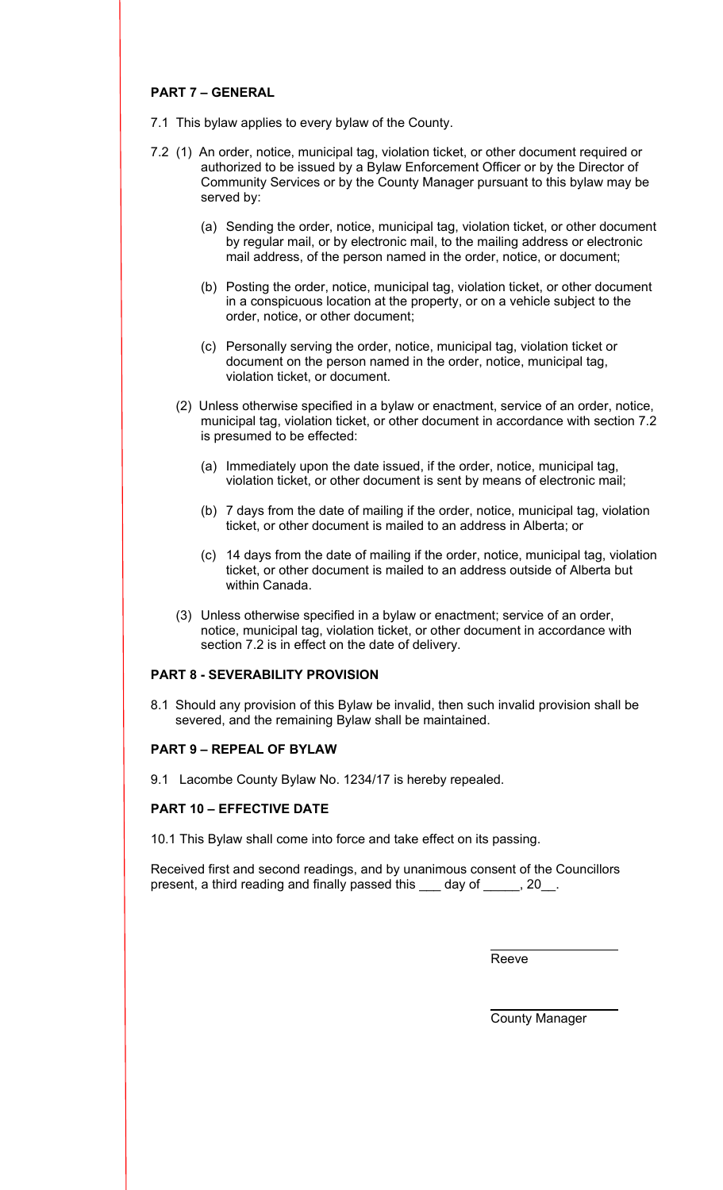## **PART 7 – GENERAL**

- 7.1 This bylaw applies to every bylaw of the County.
- 7.2 (1) An order, notice, municipal tag, violation ticket, or other document required or authorized to be issued by a Bylaw Enforcement Officer or by the Director of Community Services or by the County Manager pursuant to this bylaw may be served by:
	- (a) Sending the order, notice, municipal tag, violation ticket, or other document by regular mail, or by electronic mail, to the mailing address or electronic mail address, of the person named in the order, notice, or document;
	- (b) Posting the order, notice, municipal tag, violation ticket, or other document in a conspicuous location at the property, or on a vehicle subject to the order, notice, or other document;
	- (c) Personally serving the order, notice, municipal tag, violation ticket or document on the person named in the order, notice, municipal tag, violation ticket, or document.
	- (2) Unless otherwise specified in a bylaw or enactment, service of an order, notice, municipal tag, violation ticket, or other document in accordance with section 7.2 is presumed to be effected:
		- (a) Immediately upon the date issued, if the order, notice, municipal tag, violation ticket, or other document is sent by means of electronic mail;
		- (b) 7 days from the date of mailing if the order, notice, municipal tag, violation ticket, or other document is mailed to an address in Alberta; or
		- (c) 14 days from the date of mailing if the order, notice, municipal tag, violation ticket, or other document is mailed to an address outside of Alberta but within Canada.
	- (3) Unless otherwise specified in a bylaw or enactment; service of an order, notice, municipal tag, violation ticket, or other document in accordance with section 7.2 is in effect on the date of delivery.

# **PART 8 - SEVERABILITY PROVISION**

8.1 Should any provision of this Bylaw be invalid, then such invalid provision shall be severed, and the remaining Bylaw shall be maintained.

## **PART 9 – REPEAL OF BYLAW**

9.1 Lacombe County Bylaw No. 1234/17 is hereby repealed.

## **PART 10 – EFFECTIVE DATE**

10.1 This Bylaw shall come into force and take effect on its passing.

Received first and second readings, and by unanimous consent of the Councillors present, a third reading and finally passed this day of , 20.

<u>Reeven and the contract of the contract of the contract of the contract of the contract of the contract of the con</u>

County Manager